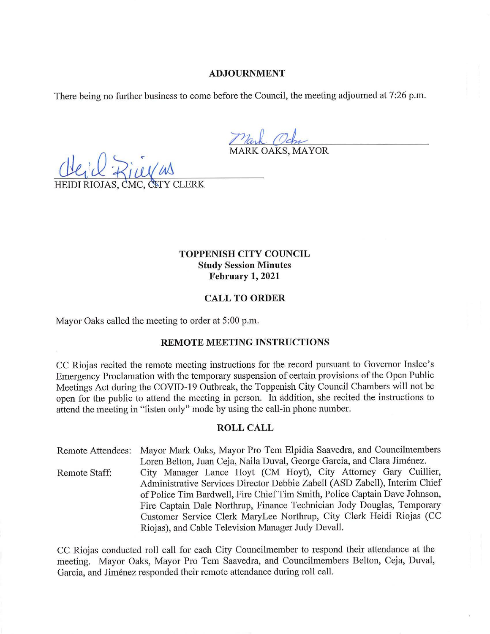# **TOPPENISH CITY COUNCIL Study Session Minutes February 1, 2021**

# **CALL TO ORDER**

Mayor Oaks called the meeting to order at 5:00 p.m.

### **REMOTE MEETING INSTRUCTIONS**

CC Riojas recited the remote meeting instructions for the record pursuant to Governor Inslee's Emergency Proclamation with the temporary suspension of certain provisions of the Open Public Meetings Act during the COVID-19 Outbreak, the Toppenish City Council Chambers will not be open for the public to attend the meeting in person. In addition, she recited the instructions to attend the meeting in "listen only" mode by using the call-in phone number.

## **ROLL CALL**

Remote Attendees: Mayor Mark Oaks, Mayor Pro Tem Elpidia Saavedra, and Councilmembers Loren Belton, Juan Ceja, Naila Duval, George Garcia, and Clara Jimenez. Remote Staff: City Manager Lance Hoyt (CM Hoyt), City Attorney Gary Cuillier, Administrative Services Director Debbie Zabell (ASD Zabell), Interim Chief of Police Tim Bardwell, Fire Chief Tim Smith, Police Captain Dave Johnson, Fire Captain Dale Northrup, Finance Technician Jody Douglas, Temporary Customer Service Clerk MaryLee Northrup, City Clerk Heidi Riojas (CC Riojas), and Cable Television Manager Judy Devall.

CC Riojas conducted roll call for each City Councilmember to respond their attendance at the meeting. Mayor Oaks, Mayor Pro Tem Saavedra, and Councilmembers Belton, Ceja, Duval, Garcia, and Jiménez responded their remote attendance during roll call.